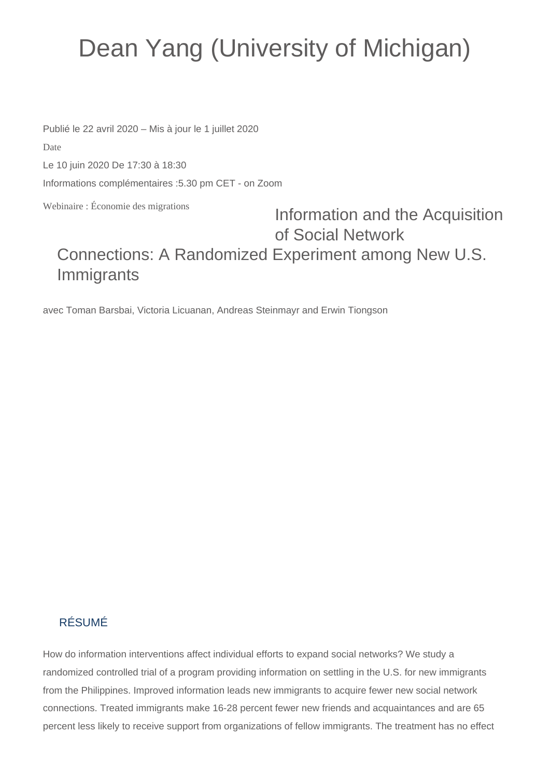## Dean Yang (University of Michigan)

Publié le 22 avril 2020 – Mis à jour le 1 juillet 2020

Date

Le 10 juin 2020 De 17:30 à 18:30

Informations complémentaires :5.30 pm CET - on Zoom

Webinaire : Économie des migrations

## Information and the Acquisition of Social Network Connections: A Randomized Experiment among New U.S. Immigrants

avec Toman Barsbai, Victoria Licuanan, Andreas Steinmayr and Erwin Tiongson

## RÉSUMÉ

How do information interventions affect individual efforts to expand social networks? We study a randomized controlled trial of a program providing information on settling in the U.S. for new immigrants from the Philippines. Improved information leads new immigrants to acquire fewer new social network connections. Treated immigrants make 16-28 percent fewer new friends and acquaintances and are 65 percent less likely to receive support from organizations of fellow immigrants. The treatment has no effect